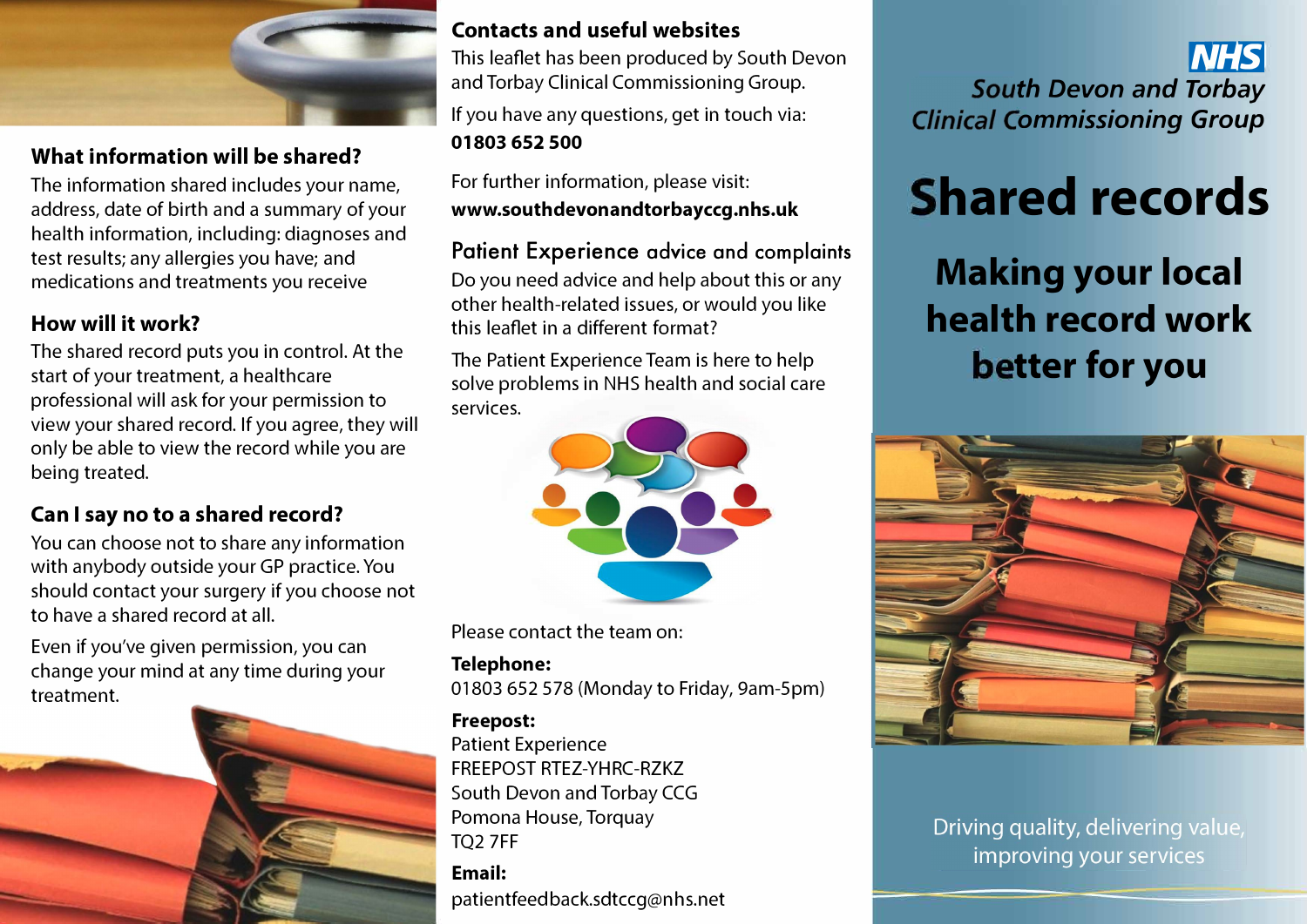

## **What information will be shared?**

The information shared includes your name, address, date of birth and a summary of your health information, including: diagnoses and test results; any allergies you have; and medications and treatments you receive

# **How will it work?**

The shared record puts you in control. At the start of your treatment, a healthcare professional will ask for your permission to view your shared record. If you agree, they will only be able to view the record while you are being treated.

# **Can I say no to a shared record?**

You can choose not to share any information with anybody outside your GP practice. You should contact your surgery if you choose not to have a shared record at all.

Even if you've given permission, you can change your mind at any time during your treatment.



#### **Contacts and useful websites**

This leaflet has been produced by South Devon and Torbay Clinical Commissioning Group. If you have any questions, get in touch via: **01803 652 500** 

For further information, please visit: **<www.southdevonandtorbayccg.nhs.uk>**

**Patient Experience advice and complaints**  Do you need advice and help about this or any other health-related issues, or would you like this leaflet in a different format?

The Patient Experience Team is here to help solve problems in NHS health and social care services.



Please contact the team on:

#### **Telephone:**

01803 652 578 (Monday to Friday, 9am-5pm)

#### **Freepost:**

Patient Experience FREEPOST RTEZ-YHRC-RZKZ South Devon and Torbay CCG Pomona House, Torquay TQ2 7FF

**Email:**  patientfeed back.sdtccg@nhs.net

*r.•1:bj*  **South Devon and Torbay Clinical Commissioning Group** 

# **Shared records**

**Making your local haalth record work better for you** 



Driving quality, delivering value, improving your services